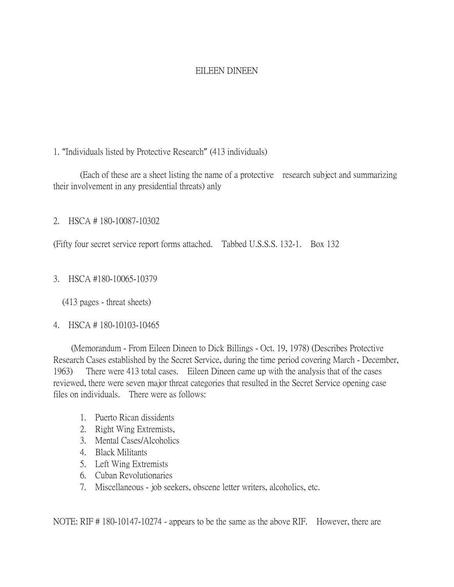# EILEEN DINEEN

# 1. "Individuals listed by Protective Research" (413 individuals)

(Each of these are a sheet listing the name of a protective research subject and summarizing their involvement in any presidential threats) anly

2. HSCA # 180-10087-10302

(Fifty four secret service report forms attached. Tabbed U.S.S.S. 132-1. Box 132

3. HSCA #180-10065-10379

(413 pages - threat sheets)

# 4. HSCA # 180-10103-10465

 (Memorandum - From Eileen Dineen to Dick Billings - Oct. 19, 1978) (Describes Protective Research Cases established by the Secret Service, during the time period covering March - December, 1963) There were 413 total cases. Eileen Dineen came up with the analysis that of the cases reviewed, there were seven major threat categories that resulted in the Secret Service opening case files on individuals. There were as follows:

- 1. Puerto Rican dissidents
- 2. Right Wing Extremists,
- 3. Mental Cases/Alcoholics
- 4. Black Militants
- 5. Left Wing Extremists
- 6. Cuban Revolutionaries
- 7. Miscellaneous job seekers, obscene letter writers, alcoholics, etc.

NOTE: RIF # 180-10147-10274 - appears to be the same as the above RIF. However, there are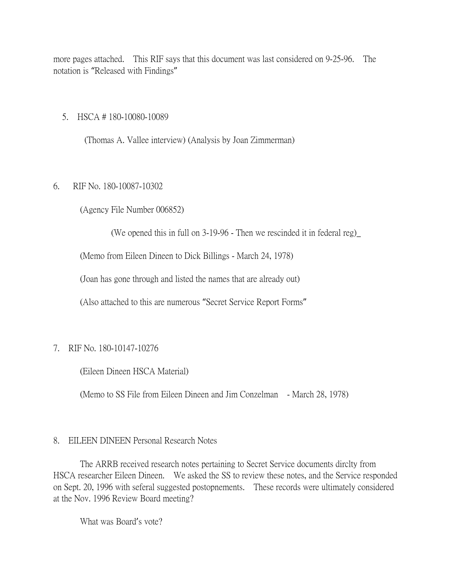more pages attached. This RIF says that this document was last considered on 9-25-96. The notation is "Released with Findings"

#### 5. HSCA # 180-10080-10089

(Thomas A. Vallee interview) (Analysis by Joan Zimmerman)

# 6. RIF No. 180-10087-10302

(Agency File Number 006852)

(We opened this in full on 3-19-96 - Then we rescinded it in federal reg)\_

(Memo from Eileen Dineen to Dick Billings - March 24, 1978)

(Joan has gone through and listed the names that are already out)

(Also attached to this are numerous "Secret Service Report Forms"

# 7. RIF No. 180-10147-10276

(Eileen Dineen HSCA Material)

(Memo to SS File from Eileen Dineen and Jim Conzelman - March 28, 1978)

# 8. EILEEN DINEEN Personal Research Notes

The ARRB received research notes pertaining to Secret Service documents dirclty from HSCA researcher Eileen Dineen. We asked the SS to review these notes, and the Service responded on Sept. 20, 1996 with seferal suggested postopnements. These records were ultimately considered at the Nov. 1996 Review Board meeting?

What was Board's vote?